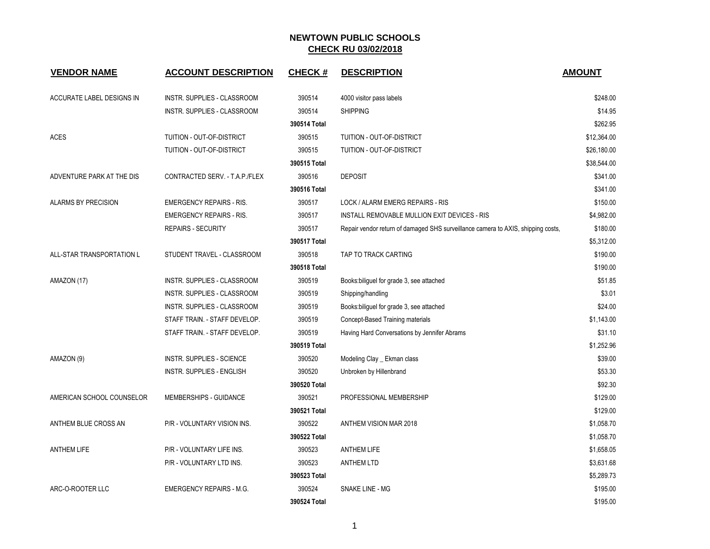| <b>VENDOR NAME</b>         | <b>ACCOUNT DESCRIPTION</b>       | <b>CHECK#</b> | <b>DESCRIPTION</b>                                                               | <b>AMOUNT</b> |
|----------------------------|----------------------------------|---------------|----------------------------------------------------------------------------------|---------------|
| ACCURATE LABEL DESIGNS IN  | INSTR. SUPPLIES - CLASSROOM      | 390514        | 4000 visitor pass labels                                                         | \$248.00      |
|                            | INSTR. SUPPLIES - CLASSROOM      | 390514        | <b>SHIPPING</b>                                                                  | \$14.95       |
|                            |                                  | 390514 Total  |                                                                                  | \$262.95      |
| <b>ACES</b>                | TUITION - OUT-OF-DISTRICT        | 390515        | TUITION - OUT-OF-DISTRICT                                                        | \$12,364.00   |
|                            | TUITION - OUT-OF-DISTRICT        | 390515        | TUITION - OUT-OF-DISTRICT                                                        | \$26,180.00   |
|                            |                                  | 390515 Total  |                                                                                  | \$38,544.00   |
| ADVENTURE PARK AT THE DIS  | CONTRACTED SERV. - T.A.P./FLEX   | 390516        | <b>DEPOSIT</b>                                                                   | \$341.00      |
|                            |                                  | 390516 Total  |                                                                                  | \$341.00      |
| <b>ALARMS BY PRECISION</b> | <b>EMERGENCY REPAIRS - RIS.</b>  | 390517        | LOCK / ALARM EMERG REPAIRS - RIS                                                 | \$150.00      |
|                            | <b>EMERGENCY REPAIRS - RIS.</b>  | 390517        | INSTALL REMOVABLE MULLION EXIT DEVICES - RIS                                     | \$4,982.00    |
|                            | <b>REPAIRS - SECURITY</b>        | 390517        | Repair vendor return of damaged SHS surveillance camera to AXIS, shipping costs, | \$180.00      |
|                            |                                  | 390517 Total  |                                                                                  | \$5,312.00    |
| ALL-STAR TRANSPORTATION L  | STUDENT TRAVEL - CLASSROOM       | 390518        | TAP TO TRACK CARTING                                                             | \$190.00      |
|                            |                                  | 390518 Total  |                                                                                  | \$190.00      |
| AMAZON (17)                | INSTR. SUPPLIES - CLASSROOM      | 390519        | Books: biliguel for grade 3, see attached                                        | \$51.85       |
|                            | INSTR. SUPPLIES - CLASSROOM      | 390519        | Shipping/handling                                                                | \$3.01        |
|                            | INSTR. SUPPLIES - CLASSROOM      | 390519        | Books: biliguel for grade 3, see attached                                        | \$24.00       |
|                            | STAFF TRAIN. - STAFF DEVELOP.    | 390519        | Concept-Based Training materials                                                 | \$1,143.00    |
|                            | STAFF TRAIN. - STAFF DEVELOP.    | 390519        | Having Hard Conversations by Jennifer Abrams                                     | \$31.10       |
|                            |                                  | 390519 Total  |                                                                                  | \$1,252.96    |
| AMAZON (9)                 | <b>INSTR. SUPPLIES - SCIENCE</b> | 390520        | Modeling Clay _ Ekman class                                                      | \$39.00       |
|                            | INSTR. SUPPLIES - ENGLISH        | 390520        | Unbroken by Hillenbrand                                                          | \$53.30       |
|                            |                                  | 390520 Total  |                                                                                  | \$92.30       |
| AMERICAN SCHOOL COUNSELOR  | MEMBERSHIPS - GUIDANCE           | 390521        | PROFESSIONAL MEMBERSHIP                                                          | \$129.00      |
|                            |                                  | 390521 Total  |                                                                                  | \$129.00      |
| ANTHEM BLUE CROSS AN       | P/R - VOLUNTARY VISION INS.      | 390522        | ANTHEM VISION MAR 2018                                                           | \$1,058.70    |
|                            |                                  | 390522 Total  |                                                                                  | \$1,058.70    |
| <b>ANTHEM LIFE</b>         | P/R - VOLUNTARY LIFE INS.        | 390523        | <b>ANTHEM LIFE</b>                                                               | \$1,658.05    |
|                            | P/R - VOLUNTARY LTD INS.         | 390523        | <b>ANTHEM LTD</b>                                                                | \$3,631.68    |
|                            |                                  | 390523 Total  |                                                                                  | \$5,289.73    |
| ARC-O-ROOTER LLC           | <b>EMERGENCY REPAIRS - M.G.</b>  | 390524        | SNAKE LINE - MG                                                                  | \$195.00      |
|                            |                                  | 390524 Total  |                                                                                  | \$195.00      |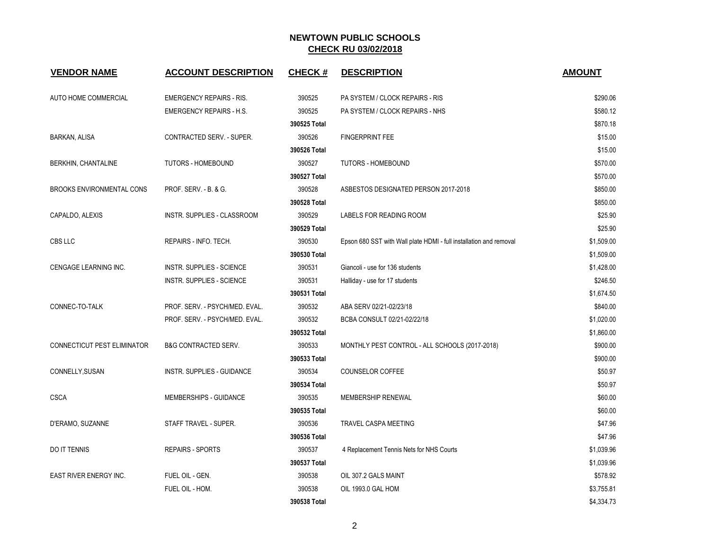| <b>VENDOR NAME</b>                 | <b>ACCOUNT DESCRIPTION</b>       | <b>CHECK#</b> | <b>DESCRIPTION</b>                                                 | <b>AMOUNT</b> |
|------------------------------------|----------------------------------|---------------|--------------------------------------------------------------------|---------------|
| AUTO HOME COMMERCIAL               | <b>EMERGENCY REPAIRS - RIS.</b>  | 390525        | PA SYSTEM / CLOCK REPAIRS - RIS                                    | \$290.06      |
|                                    | <b>EMERGENCY REPAIRS - H.S.</b>  | 390525        | PA SYSTEM / CLOCK REPAIRS - NHS                                    | \$580.12      |
|                                    |                                  | 390525 Total  |                                                                    | \$870.18      |
| <b>BARKAN, ALISA</b>               | CONTRACTED SERV. - SUPER.        | 390526        | <b>FINGERPRINT FEE</b>                                             | \$15.00       |
|                                    |                                  | 390526 Total  |                                                                    | \$15.00       |
| BERKHIN, CHANTALINE                | TUTORS - HOMEBOUND               | 390527        | TUTORS - HOMEBOUND                                                 | \$570.00      |
|                                    |                                  | 390527 Total  |                                                                    | \$570.00      |
| <b>BROOKS ENVIRONMENTAL CONS</b>   | PROF. SERV. - B. & G.            | 390528        | ASBESTOS DESIGNATED PERSON 2017-2018                               | \$850.00      |
|                                    |                                  | 390528 Total  |                                                                    | \$850.00      |
| CAPALDO, ALEXIS                    | INSTR. SUPPLIES - CLASSROOM      | 390529        | LABELS FOR READING ROOM                                            | \$25.90       |
|                                    |                                  | 390529 Total  |                                                                    | \$25.90       |
| CBS LLC                            | REPAIRS - INFO. TECH.            | 390530        | Epson 680 SST with Wall plate HDMI - full installation and removal | \$1,509.00    |
|                                    |                                  | 390530 Total  |                                                                    | \$1,509.00    |
| <b>CENGAGE LEARNING INC.</b>       | <b>INSTR. SUPPLIES - SCIENCE</b> | 390531        | Giancoli - use for 136 students                                    | \$1,428.00    |
|                                    | INSTR. SUPPLIES - SCIENCE        | 390531        | Halliday - use for 17 students                                     | \$246.50      |
|                                    |                                  | 390531 Total  |                                                                    | \$1,674.50    |
| CONNEC-TO-TALK                     | PROF. SERV. - PSYCH/MED. EVAL.   | 390532        | ABA SERV 02/21-02/23/18                                            | \$840.00      |
|                                    | PROF. SERV. - PSYCH/MED. EVAL.   | 390532        | BCBA CONSULT 02/21-02/22/18                                        | \$1,020.00    |
|                                    |                                  | 390532 Total  |                                                                    | \$1,860.00    |
| <b>CONNECTICUT PEST ELIMINATOR</b> | <b>B&amp;G CONTRACTED SERV.</b>  | 390533        | MONTHLY PEST CONTROL - ALL SCHOOLS (2017-2018)                     | \$900.00      |
|                                    |                                  | 390533 Total  |                                                                    | \$900.00      |
| CONNELLY, SUSAN                    | INSTR. SUPPLIES - GUIDANCE       | 390534        | <b>COUNSELOR COFFEE</b>                                            | \$50.97       |
|                                    |                                  | 390534 Total  |                                                                    | \$50.97       |
| <b>CSCA</b>                        | MEMBERSHIPS - GUIDANCE           | 390535        | MEMBERSHIP RENEWAL                                                 | \$60.00       |
|                                    |                                  | 390535 Total  |                                                                    | \$60.00       |
| D'ERAMO, SUZANNE                   | STAFF TRAVEL - SUPER.            | 390536        | <b>TRAVEL CASPA MEETING</b>                                        | \$47.96       |
|                                    |                                  | 390536 Total  |                                                                    | \$47.96       |
| <b>DO IT TENNIS</b>                | <b>REPAIRS - SPORTS</b>          | 390537        | 4 Replacement Tennis Nets for NHS Courts                           | \$1,039.96    |
|                                    |                                  | 390537 Total  |                                                                    | \$1,039.96    |
| EAST RIVER ENERGY INC.             | FUEL OIL - GEN.                  | 390538        | OIL 307.2 GALS MAINT                                               | \$578.92      |
|                                    | FUEL OIL - HOM.                  | 390538        | OIL 1993.0 GAL HOM                                                 | \$3,755.81    |
|                                    |                                  | 390538 Total  |                                                                    | \$4,334.73    |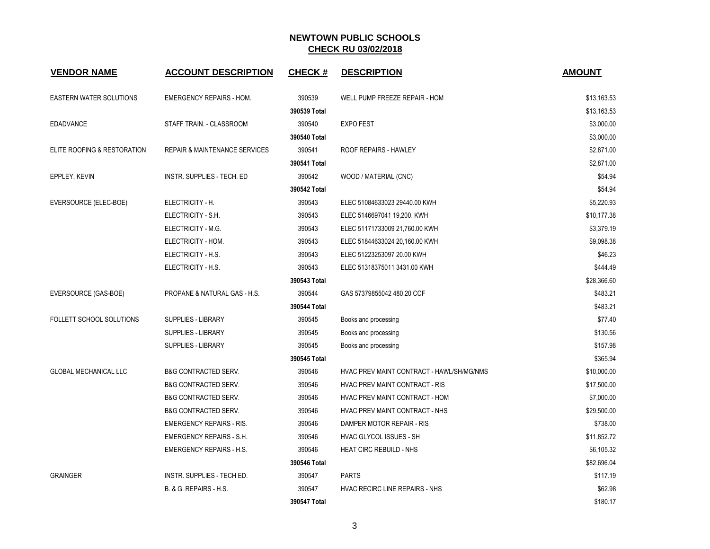| <b>VENDOR NAME</b>             | <b>ACCOUNT DESCRIPTION</b>               | <b>CHECK#</b> | <b>DESCRIPTION</b>                        | <b>AMOUNT</b> |
|--------------------------------|------------------------------------------|---------------|-------------------------------------------|---------------|
| <b>EASTERN WATER SOLUTIONS</b> | <b>EMERGENCY REPAIRS - HOM.</b>          | 390539        | WELL PUMP FREEZE REPAIR - HOM             | \$13,163.53   |
|                                |                                          | 390539 Total  |                                           | \$13,163.53   |
| <b>EDADVANCE</b>               | STAFF TRAIN. - CLASSROOM                 | 390540        | <b>EXPO FEST</b>                          | \$3,000.00    |
|                                |                                          | 390540 Total  |                                           | \$3,000.00    |
| ELITE ROOFING & RESTORATION    | <b>REPAIR &amp; MAINTENANCE SERVICES</b> | 390541        | ROOF REPAIRS - HAWLEY                     | \$2,871.00    |
|                                |                                          | 390541 Total  |                                           | \$2,871.00    |
| EPPLEY, KEVIN                  | INSTR. SUPPLIES - TECH. ED               | 390542        | WOOD / MATERIAL (CNC)                     | \$54.94       |
|                                |                                          | 390542 Total  |                                           | \$54.94       |
| EVERSOURCE (ELEC-BOE)          | ELECTRICITY - H.                         | 390543        | ELEC 51084633023 29440.00 KWH             | \$5,220.93    |
|                                | ELECTRICITY - S.H.                       | 390543        | ELEC 5146697041 19,200. KWH               | \$10,177.38   |
|                                | ELECTRICITY - M.G.                       | 390543        | ELEC 51171733009 21,760.00 KWH            | \$3,379.19    |
|                                | ELECTRICITY - HOM.                       | 390543        | ELEC 51844633024 20,160.00 KWH            | \$9,098.38    |
|                                | ELECTRICITY - H.S.                       | 390543        | ELEC 51223253097 20.00 KWH                | \$46.23       |
|                                | ELECTRICITY - H.S.                       | 390543        | ELEC 51318375011 3431.00 KWH              | \$444.49      |
|                                |                                          | 390543 Total  |                                           | \$28,366.60   |
| EVERSOURCE (GAS-BOE)           | PROPANE & NATURAL GAS - H.S.             | 390544        | GAS 57379855042 480.20 CCF                | \$483.21      |
|                                |                                          | 390544 Total  |                                           | \$483.21      |
| FOLLETT SCHOOL SOLUTIONS       | <b>SUPPLIES - LIBRARY</b>                | 390545        | Books and processing                      | \$77.40       |
|                                | <b>SUPPLIES - LIBRARY</b>                | 390545        | Books and processing                      | \$130.56      |
|                                | <b>SUPPLIES - LIBRARY</b>                | 390545        | Books and processing                      | \$157.98      |
|                                |                                          | 390545 Total  |                                           | \$365.94      |
| <b>GLOBAL MECHANICAL LLC</b>   | <b>B&amp;G CONTRACTED SERV.</b>          | 390546        | HVAC PREV MAINT CONTRACT - HAWL/SH/MG/NMS | \$10,000.00   |
|                                | <b>B&amp;G CONTRACTED SERV.</b>          | 390546        | HVAC PREV MAINT CONTRACT - RIS            | \$17,500.00   |
|                                | <b>B&amp;G CONTRACTED SERV.</b>          | 390546        | HVAC PREV MAINT CONTRACT - HOM            | \$7,000.00    |
|                                | <b>B&amp;G CONTRACTED SERV.</b>          | 390546        | HVAC PREV MAINT CONTRACT - NHS            | \$29,500.00   |
|                                | <b>EMERGENCY REPAIRS - RIS.</b>          | 390546        | DAMPER MOTOR REPAIR - RIS                 | \$738.00      |
|                                | <b>EMERGENCY REPAIRS - S.H.</b>          | 390546        | HVAC GLYCOL ISSUES - SH                   | \$11,852.72   |
|                                | <b>EMERGENCY REPAIRS - H.S.</b>          | 390546        | <b>HEAT CIRC REBUILD - NHS</b>            | \$6,105.32    |
|                                |                                          | 390546 Total  |                                           | \$82,696.04   |
| <b>GRAINGER</b>                | INSTR. SUPPLIES - TECH ED.               | 390547        | <b>PARTS</b>                              | \$117.19      |
|                                | B. & G. REPAIRS - H.S.                   | 390547        | HVAC RECIRC LINE REPAIRS - NHS            | \$62.98       |
|                                |                                          | 390547 Total  |                                           | \$180.17      |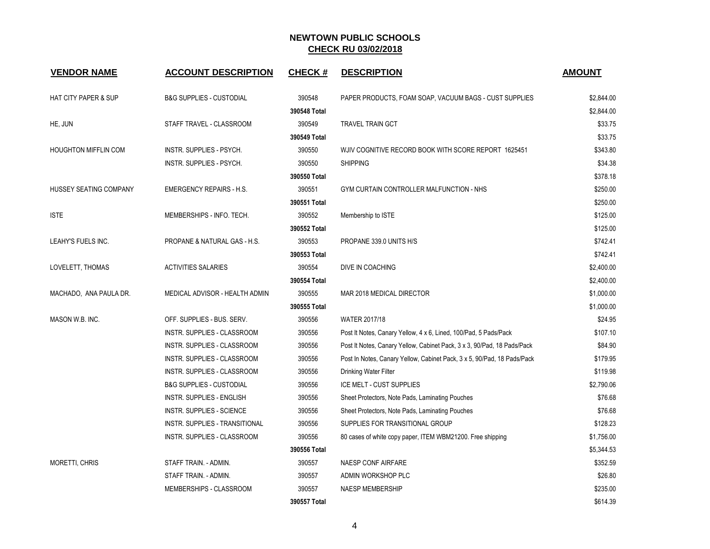| <b>VENDOR NAME</b>              | <b>ACCOUNT DESCRIPTION</b>            | <b>CHECK#</b> | <b>DESCRIPTION</b>                                                      | <b>AMOUNT</b> |
|---------------------------------|---------------------------------------|---------------|-------------------------------------------------------------------------|---------------|
| <b>HAT CITY PAPER &amp; SUP</b> | <b>B&amp;G SUPPLIES - CUSTODIAL</b>   | 390548        | PAPER PRODUCTS, FOAM SOAP, VACUUM BAGS - CUST SUPPLIES                  | \$2,844.00    |
|                                 |                                       | 390548 Total  |                                                                         | \$2,844.00    |
| HE, JUN                         | STAFF TRAVEL - CLASSROOM              | 390549        | <b>TRAVEL TRAIN GCT</b>                                                 | \$33.75       |
|                                 |                                       | 390549 Total  |                                                                         | \$33.75       |
| <b>HOUGHTON MIFFLIN COM</b>     | <b>INSTR. SUPPLIES - PSYCH.</b>       | 390550        | WJIV COGNITIVE RECORD BOOK WITH SCORE REPORT 1625451                    | \$343.80      |
|                                 | INSTR. SUPPLIES - PSYCH.              | 390550        | <b>SHIPPING</b>                                                         | \$34.38       |
|                                 |                                       | 390550 Total  |                                                                         | \$378.18      |
| HUSSEY SEATING COMPANY          | <b>EMERGENCY REPAIRS - H.S.</b>       | 390551        | GYM CURTAIN CONTROLLER MALFUNCTION - NHS                                | \$250.00      |
|                                 |                                       | 390551 Total  |                                                                         | \$250.00      |
| <b>ISTE</b>                     | MEMBERSHIPS - INFO. TECH.             | 390552        | Membership to ISTE                                                      | \$125.00      |
|                                 |                                       | 390552 Total  |                                                                         | \$125.00      |
| LEAHY'S FUELS INC.              | PROPANE & NATURAL GAS - H.S.          | 390553        | PROPANE 339.0 UNITS H/S                                                 | \$742.41      |
|                                 |                                       | 390553 Total  |                                                                         | \$742.41      |
| LOVELETT, THOMAS                | <b>ACTIVITIES SALARIES</b>            | 390554        | DIVE IN COACHING                                                        | \$2,400.00    |
|                                 |                                       | 390554 Total  |                                                                         | \$2,400.00    |
| MACHADO, ANA PAULA DR.          | MEDICAL ADVISOR - HEALTH ADMIN        | 390555        | MAR 2018 MEDICAL DIRECTOR                                               | \$1,000.00    |
|                                 |                                       | 390555 Total  |                                                                         | \$1,000.00    |
| MASON W.B. INC.                 | OFF. SUPPLIES - BUS. SERV.            | 390556        | <b>WATER 2017/18</b>                                                    | \$24.95       |
|                                 | INSTR. SUPPLIES - CLASSROOM           | 390556        | Post It Notes, Canary Yellow, 4 x 6, Lined, 100/Pad, 5 Pads/Pack        | \$107.10      |
|                                 | INSTR. SUPPLIES - CLASSROOM           | 390556        | Post It Notes, Canary Yellow, Cabinet Pack, 3 x 3, 90/Pad, 18 Pads/Pack | \$84.90       |
|                                 | INSTR. SUPPLIES - CLASSROOM           | 390556        | Post In Notes, Canary Yellow, Cabinet Pack, 3 x 5, 90/Pad, 18 Pads/Pack | \$179.95      |
|                                 | INSTR. SUPPLIES - CLASSROOM           | 390556        | Drinking Water Filter                                                   | \$119.98      |
|                                 | <b>B&amp;G SUPPLIES - CUSTODIAL</b>   | 390556        | ICE MELT - CUST SUPPLIES                                                | \$2,790.06    |
|                                 | <b>INSTR. SUPPLIES - ENGLISH</b>      | 390556        | Sheet Protectors, Note Pads, Laminating Pouches                         | \$76.68       |
|                                 | <b>INSTR. SUPPLIES - SCIENCE</b>      | 390556        | Sheet Protectors, Note Pads, Laminating Pouches                         | \$76.68       |
|                                 | <b>INSTR. SUPPLIES - TRANSITIONAL</b> | 390556        | SUPPLIES FOR TRANSITIONAL GROUP                                         | \$128.23      |
|                                 | INSTR. SUPPLIES - CLASSROOM           | 390556        | 80 cases of white copy paper, ITEM WBM21200. Free shipping              | \$1,756.00    |
|                                 |                                       | 390556 Total  |                                                                         | \$5,344.53    |
| <b>MORETTI, CHRIS</b>           | STAFF TRAIN. - ADMIN.                 | 390557        | <b>NAESP CONF AIRFARE</b>                                               | \$352.59      |
|                                 | STAFF TRAIN. - ADMIN.                 | 390557        | ADMIN WORKSHOP PLC                                                      | \$26.80       |
|                                 | MEMBERSHIPS - CLASSROOM               | 390557        | <b>NAESP MEMBERSHIP</b>                                                 | \$235.00      |
|                                 |                                       | 390557 Total  |                                                                         | \$614.39      |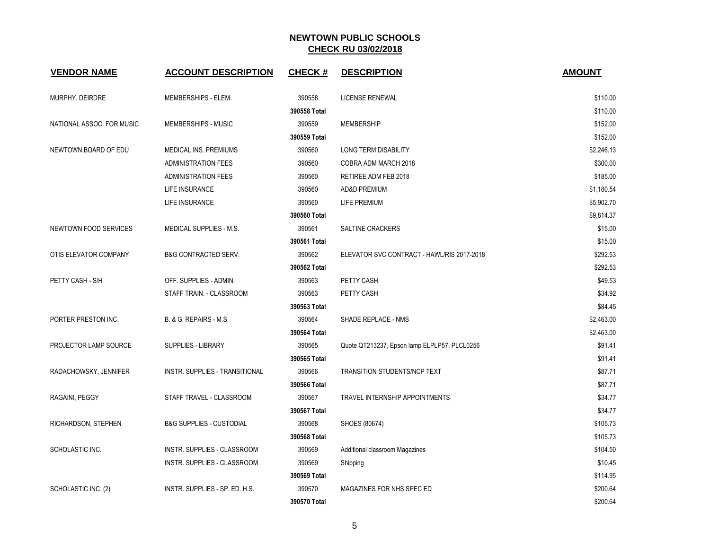| <b>VENDOR NAME</b>        | <b>ACCOUNT DESCRIPTION</b>          | <b>CHECK#</b> | <b>DESCRIPTION</b>                           | <b>AMOUNT</b> |
|---------------------------|-------------------------------------|---------------|----------------------------------------------|---------------|
| MURPHY, DEIRDRE           | MEMBERSHIPS - ELEM.                 | 390558        | LICENSE RENEWAL                              | \$110.00      |
|                           |                                     | 390558 Total  |                                              | \$110.00      |
| NATIONAL ASSOC. FOR MUSIC | MEMBERSHIPS - MUSIC                 | 390559        | <b>MEMBERSHIP</b>                            | \$152.00      |
|                           |                                     | 390559 Total  |                                              | \$152.00      |
| NEWTOWN BOARD OF EDU      | MEDICAL INS. PREMIUMS               | 390560        | <b>LONG TERM DISABILITY</b>                  | \$2,246.13    |
|                           | <b>ADMINISTRATION FEES</b>          | 390560        | COBRA ADM MARCH 2018                         | \$300.00      |
|                           | <b>ADMINISTRATION FEES</b>          | 390560        | RETIREE ADM FEB 2018                         | \$185.00      |
|                           | LIFE INSURANCE                      | 390560        | AD&D PREMIUM                                 | \$1,180.54    |
|                           | LIFE INSURANCE                      | 390560        | LIFE PREMIUM                                 | \$5,902.70    |
|                           |                                     | 390560 Total  |                                              | \$9,814.37    |
| NEWTOWN FOOD SERVICES     | MEDICAL SUPPLIES - M.S.             | 390561        | SALTINE CRACKERS                             | \$15.00       |
|                           |                                     | 390561 Total  |                                              | \$15.00       |
| OTIS ELEVATOR COMPANY     | <b>B&amp;G CONTRACTED SERV.</b>     | 390562        | ELEVATOR SVC CONTRACT - HAWL/RIS 2017-2018   | \$292.53      |
|                           |                                     | 390562 Total  |                                              | \$292.53      |
| PETTY CASH - S/H          | OFF. SUPPLIES - ADMIN.              | 390563        | PETTY CASH                                   | \$49.53       |
|                           | STAFF TRAIN. - CLASSROOM            | 390563        | PETTY CASH                                   | \$34.92       |
|                           |                                     | 390563 Total  |                                              | \$84.45       |
| PORTER PRESTON INC.       | B. & G. REPAIRS - M.S.              | 390564        | SHADE REPLACE - NMS                          | \$2,463.00    |
|                           |                                     | 390564 Total  |                                              | \$2,463.00    |
| PROJECTOR LAMP SOURCE     | <b>SUPPLIES - LIBRARY</b>           | 390565        | Quote QT213237, Epson lamp ELPLP57, PLCL0256 | \$91.41       |
|                           |                                     | 390565 Total  |                                              | \$91.41       |
| RADACHOWSKY, JENNIFER     | INSTR. SUPPLIES - TRANSITIONAL      | 390566        | TRANSITION STUDENTS/NCP TEXT                 | \$87.71       |
|                           |                                     | 390566 Total  |                                              | \$87.71       |
| RAGAINI, PEGGY            | STAFF TRAVEL - CLASSROOM            | 390567        | TRAVEL INTERNSHIP APPOINTMENTS               | \$34.77       |
|                           |                                     | 390567 Total  |                                              | \$34.77       |
| RICHARDSON, STEPHEN       | <b>B&amp;G SUPPLIES - CUSTODIAL</b> | 390568        | SHOES (80674)                                | \$105.73      |
|                           |                                     | 390568 Total  |                                              | \$105.73      |
| SCHOLASTIC INC.           | INSTR. SUPPLIES - CLASSROOM         | 390569        | Additional classroom Magazines               | \$104.50      |
|                           | INSTR. SUPPLIES - CLASSROOM         | 390569        | Shipping                                     | \$10.45       |
|                           |                                     | 390569 Total  |                                              | \$114.95      |
| SCHOLASTIC INC. (2)       | INSTR. SUPPLIES - SP. ED. H.S.      | 390570        | MAGAZINES FOR NHS SPEC ED                    | \$200.64      |
|                           |                                     | 390570 Total  |                                              | \$200.64      |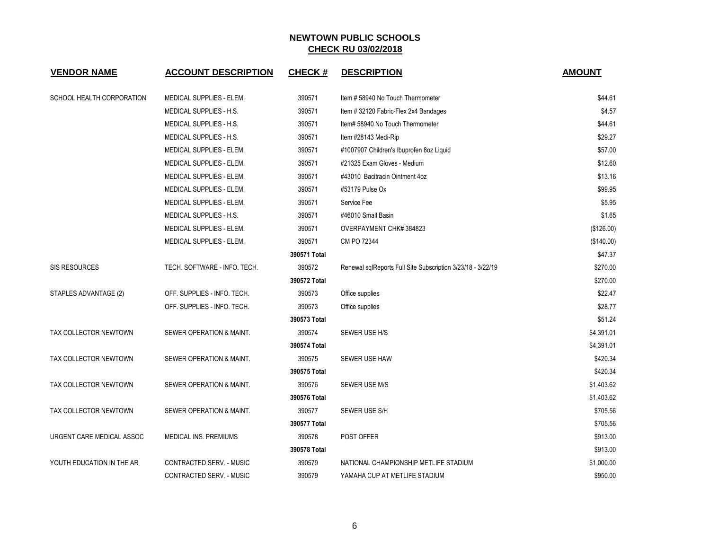| <b>VENDOR NAME</b>        | <b>ACCOUNT DESCRIPTION</b>      | <b>CHECK#</b> | <b>DESCRIPTION</b>                                          | <b>AMOUNT</b> |
|---------------------------|---------------------------------|---------------|-------------------------------------------------------------|---------------|
| SCHOOL HEALTH CORPORATION | <b>MEDICAL SUPPLIES - ELEM.</b> | 390571        | Item #58940 No Touch Thermometer                            | \$44.61       |
|                           | MEDICAL SUPPLIES - H.S.         | 390571        | Item # 32120 Fabric-Flex 2x4 Bandages                       | \$4.57        |
|                           | <b>MEDICAL SUPPLIES - H.S.</b>  | 390571        | Item# 58940 No Touch Thermometer                            | \$44.61       |
|                           | <b>MEDICAL SUPPLIES - H.S.</b>  | 390571        | Item #28143 Medi-Rip                                        | \$29.27       |
|                           | MEDICAL SUPPLIES - ELEM.        | 390571        | #1007907 Children's Ibuprofen 8oz Liquid                    | \$57.00       |
|                           | MEDICAL SUPPLIES - ELEM.        | 390571        | #21325 Exam Gloves - Medium                                 | \$12.60       |
|                           | MEDICAL SUPPLIES - ELEM.        | 390571        | #43010 Bacitracin Ointment 4oz                              | \$13.16       |
|                           | MEDICAL SUPPLIES - ELEM.        | 390571        | #53179 Pulse Ox                                             | \$99.95       |
|                           | MEDICAL SUPPLIES - ELEM.        | 390571        | Service Fee                                                 | \$5.95        |
|                           | MEDICAL SUPPLIES - H.S.         | 390571        | #46010 Small Basin                                          | \$1.65        |
|                           | MEDICAL SUPPLIES - ELEM.        | 390571        | OVERPAYMENT CHK#384823                                      | (\$126.00)    |
|                           | MEDICAL SUPPLIES - ELEM.        | 390571        | CM PO 72344                                                 | (\$140.00)    |
|                           |                                 | 390571 Total  |                                                             | \$47.37       |
| <b>SIS RESOURCES</b>      | TECH. SOFTWARE - INFO. TECH.    | 390572        | Renewal sqlReports Full Site Subscription 3/23/18 - 3/22/19 | \$270.00      |
|                           |                                 | 390572 Total  |                                                             | \$270.00      |
| STAPLES ADVANTAGE (2)     | OFF. SUPPLIES - INFO. TECH.     | 390573        | Office supplies                                             | \$22.47       |
|                           | OFF. SUPPLIES - INFO. TECH.     | 390573        | Office supplies                                             | \$28.77       |
|                           |                                 | 390573 Total  |                                                             | \$51.24       |
| TAX COLLECTOR NEWTOWN     | SEWER OPERATION & MAINT.        | 390574        | SEWER USE H/S                                               | \$4,391.01    |
|                           |                                 | 390574 Total  |                                                             | \$4,391.01    |
| TAX COLLECTOR NEWTOWN     | SEWER OPERATION & MAINT.        | 390575        | <b>SEWER USE HAW</b>                                        | \$420.34      |
|                           |                                 | 390575 Total  |                                                             | \$420.34      |
| TAX COLLECTOR NEWTOWN     | SEWER OPERATION & MAINT.        | 390576        | SEWER USE M/S                                               | \$1,403.62    |
|                           |                                 | 390576 Total  |                                                             | \$1,403.62    |
| TAX COLLECTOR NEWTOWN     | SEWER OPERATION & MAINT.        | 390577        | SEWER USE S/H                                               | \$705.56      |
|                           |                                 | 390577 Total  |                                                             | \$705.56      |
| URGENT CARE MEDICAL ASSOC | <b>MEDICAL INS. PREMIUMS</b>    | 390578        | POST OFFER                                                  | \$913.00      |
|                           |                                 | 390578 Total  |                                                             | \$913.00      |
| YOUTH EDUCATION IN THE AR | CONTRACTED SERV. - MUSIC        | 390579        | NATIONAL CHAMPIONSHIP METLIFE STADIUM                       | \$1,000.00    |
|                           | CONTRACTED SERV. - MUSIC        | 390579        | YAMAHA CUP AT METLIFE STADIUM                               | \$950.00      |